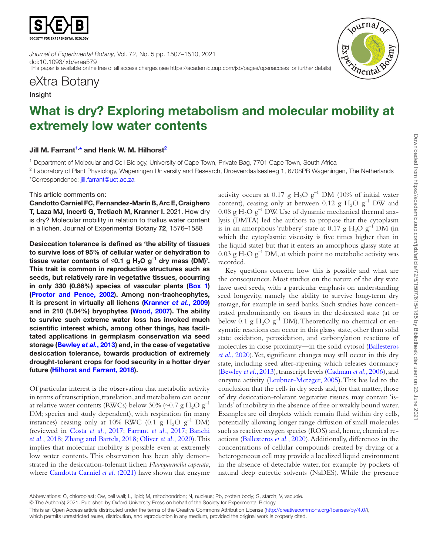

*Journal of Experimental Botany*, Vol. 72, No. 5 pp. 1507–1510, 2021 doi:10.1093/jxb/eraa579 This paper is available online free of all access charges (see https://academic.oup.com/jxb/pages/openaccess for further details)



## eXtra Botany

### Insight

# What is dry? Exploring metabolism and molecular mobility at extremely low water contents

### Jill M. Farrant<sup>1,\*</sup> and Henk W. M. Hilhorst<sup>2</sup>

<span id="page-0-0"></span><sup>1</sup> Department of Molecular and Cell Biology, University of Cape Town, Private Bag, 7701 Cape Town, South Africa

<span id="page-0-2"></span><span id="page-0-1"></span><sup>2</sup> Laboratory of Plant Physiology, Wageningen University and Research, Droevendaalsesteeg 1, 6708PB Wageningen, The Netherlands \*Correspondence: [jill.farrant@uct.ac.za](mailto:jill.farrant@uct.ac.za?subject=)

This article comments on:

Candotto Carniel FC, Fernandez-Marín B, Arc E, Craighero T, Laza MJ, Incerti G, Tretiach M, Kranner I. 2021. How dry is dry? Molecular mobility in relation to thallus water content in a lichen. Journal of Experimental Botany 72, 1576–1588

Desiccation tolerance is defined as 'the ability of tissues to survive loss of 95% of cellular water or dehydration to tissue water contents of ≤0.1 g H<sub>2</sub>O g<sup>-1</sup> dry mass (DM)'. This trait is common in reproductive structures such as seeds, but relatively rare in vegetative tissues, occurring in only 330 (0.86%) species of vascular plants ([Box 1](#page-1-0)) ([Proctor and Pence, 2002\)](#page-3-0). Among non-tracheophytes, it is present in virtually all lichens [\(Kranner](#page-3-1) *et al.*, 2009) and in 210 (1.04%) bryophytes ([Wood, 2007](#page-3-2)). The ability to survive such extreme water loss has invoked much scientific interest which, among other things, has facilitated applications in germplasm conservation via seed storage ([Bewley](#page-3-3) *et al.*, 2013) and, in the case of vegetative desiccation tolerance, towards production of extremely drought-tolerant crops for food security in a hotter dryer future [\(Hilhorst and Farrant, 2018](#page-3-4)).

Of particular interest is the observation that metabolic activity in terms of transcription, translation, and metabolism can occur at relative water contents (RWCs) below 30% (~0.7 g  $H_2O$  g<sup>-1</sup> DM; species and study dependent), with respiration (in many instances) ceasing only at 10% RWC (0.1  $\mu$  H<sub>2</sub>O  $\mu$ <sup>-1</sup> DM) (reviewed in Costa *et al.*[, 2017](#page-3-5); [Farrant](#page-3-6) *et al.*, 2017; [Banchi](#page-3-7) *et al.*[, 2018;](#page-3-7) [Zhang and Bartels, 2018](#page-3-8); [Oliver](#page-3-9) *et al.*, 2020). This implies that molecular mobility is possible even at extremely low water contents. This observation has been ably demonstrated in the desiccation-tolerant lichen *Flavoparmelia caperata*, where [Candotta Carniel](#page-3-10) *et al.* (2021) have shown that enzyme activity occurs at 0.17 g  $H_2O g^{-1}$  DM (10% of initial water content), ceasing only at between 0.12 g  $H_2O g^{-1}$  DW and  $0.08$  g H<sub>2</sub>O g<sup>-1</sup> DW. Use of dynamic mechanical thermal analysis (DMTA) led the authors to propose that the cytoplasm is in an amorphous 'rubbery' state at 0.17 g  $H_2O g^{-1}$  DM (in which the cytoplasmic viscosity is five times higher than in the liquid state) but that it enters an amorphous glassy state at  $0.03$  g H<sub>2</sub>O g<sup>-1</sup> DM, at which point no metabolic activity was recorded.

Key questions concern how this is possible and what are the consequences. Most studies on the nature of the dry state have used seeds, with a particular emphasis on understanding seed longevity, namely the ability to survive long-term dry storage, for example in seed banks. Such studies have concentrated predominantly on tissues in the desiccated state (at or below 0.1 g H<sub>2</sub>O  $g^{-1}$  DM). Theoretically, no chemical or enzymatic reactions can occur in this glassy state, other than solid state oxidation, peroxidation, and carbonylation reactions of molecules in close proximity—in the solid cytosol ([Ballesteros](#page-3-11) *et al.*[, 2020\)](#page-3-11). Yet, significant changes may still occur in this dry state, including seed after-ripening which releases dormancy [\(Bewley](#page-3-3) *et al.*, 2013), transcript levels ([Cadman](#page-3-12) *et al.*, 2006), and enzyme activity [\(Leubner-Metzger, 2005\)](#page-3-13). This has led to the conclusion that the cells in dry seeds and, for that matter, those of dry desiccation-tolerant vegetative tissues, may contain 'islands' of mobility in the absence of free or weakly bound water. Examples are oil droplets which remain fluid within dry cells, potentially allowing longer range diffusion of small molecules such as reactive oxygen species (ROS) and, hence, chemical reactions ([Ballesteros](#page-3-11) *et al.*, 2020). Additionally, differences in the concentrations of cellular compounds created by drying of a heterogeneous cell may provide a localized liquid environment in the absence of detectable water, for example by pockets of natural deep eutectic solvents (NaDES). While the presence

Abbreviations: C, chloroplast; Cw, cell wall; L, lipid; M, mitochondrion; N, nucleus; Pb, protein body; S, starch; V, vacuole.

<sup>©</sup> The Author(s) 2021. Published by Oxford University Press on behalf of the Society for Experimental Biology.

This is an Open Access article distributed under the terms of the Creative Commons Attribution License ([http://creativecommons.org/licenses/by/4.0/\)](http://creativecommons.org/licenses/by/4.0/), which permits unrestricted reuse, distribution, and reproduction in any medium, provided the original work is properly cited.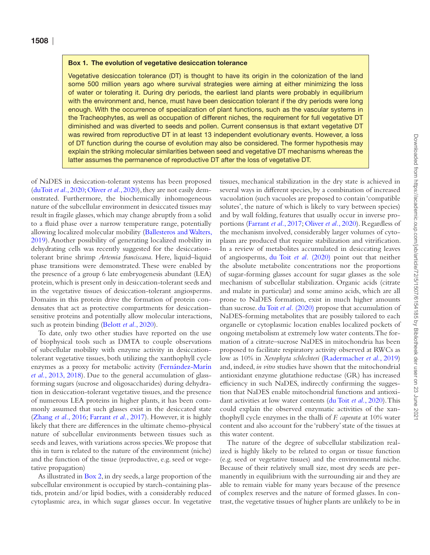#### <span id="page-1-0"></span>Box 1. The evolution of vegetative desiccation tolerance

Vegetative desiccation tolerance (DT) is thought to have its origin in the colonization of the land some 500 million years ago where survival strategies were aiming at either minimizing the loss of water or tolerating it. During dry periods, the earliest land plants were probably in equilibrium with the environment and, hence, must have been desiccation tolerant if the dry periods were long enough. With the occurrence of specialization of plant functions, such as the vascular systems in the Tracheophytes, as well as occupation of different niches, the requirement for full vegetative DT diminished and was diverted to seeds and pollen. Current consensus is that extant vegetative DT was rewired from reproductive DT in at least 13 independent evolutionary events. However, a loss of DT function during the course of evolution may also be considered. The former hypothesis may explain the striking molecular similarities between seed and vegetative DT mechanisms whereas the latter assumes the permanence of reproductive DT after the loss of vegetative DT.

of NaDES in desiccation-tolerant systems has been proposed [\(duToit](#page-3-14) *et al.*, 2020; [Oliver](#page-3-9) *et al.*, 2020), they are not easily demonstrated. Furthermore, the biochemically inhomogeneous nature of the subcellular environment in desiccated tissues may result in fragile glasses, which may change abruptly from a solid to a fluid phase over a narrow temperature range, potentially allowing localized molecular mobility ([Ballesteros and Walters,](#page-3-15) [2019\)](#page-3-15). Another possibility of generating localized mobility in dehydrating cells was recently suggested for the desiccationtolerant brine shrimp *Artemia franciscana*. Here, liquid–liquid phase transitions were demonstrated. These were enabled by the presence of a group 6 late embryogenesis abundant (LEA) protein, which is present only in desiccation-tolerant seeds and in the vegetative tissues of desiccation-tolerant angiosperms. Domains in this protein drive the formation of protein condensates that act as protective compartments for desiccationsensitive proteins and potentially allow molecular interactions, such as protein binding ([Belott](#page-3-16) *et al.*, 2020).

To date, only two other studies have reported on the use of biophysical tools such as DMTA to couple observations of subcellular mobility with enzyme activity in desiccationtolerant vegetative tissues, both utilizing the xanthophyll cycle enzymes as a proxy for metabolic activity [\(Fernández-Marín](#page-3-17) *et al.*[, 2013,](#page-3-17) [2018\)](#page-3-18). Due to the general accumulation of glassforming sugars (sucrose and oligosaccharides) during dehydration in desiccation-tolerant vegetative tissues, and the presence of numerous LEA proteins in higher plants, it has been commonly assumed that such glasses exist in the desiccated state [\(Zhang](#page-3-19) *et al.*, 2016; [Farrant](#page-3-6) *et al.*, 2017). However, it is highly likely that there are differences in the ultimate chemo-physical nature of subcellular environments between tissues such as seeds and leaves, with variations across species. We propose that this in turn is related to the nature of the environment (niche) and the function of the tissue (reproductive, e.g. seed or vegetative propagation)

As illustrated in [Box 2,](#page-2-0) in dry seeds, a large proportion of the subcellular environment is occupied by starch-containing plastids, protein and/or lipid bodies, with a considerably reduced cytoplasmic area, in which sugar glasses occur. In vegetative tissues, mechanical stabilization in the dry state is achieved in several ways in different species, by a combination of increased vacuolation (such vacuoles are proposed to contain 'compatible solutes', the nature of which is likely to vary between species) and by wall folding, features that usually occur in inverse proportions ([Farrant](#page-3-6) *et al.*, 2017; [Oliver](#page-3-9) *et al.*, 2020). Regardless of the mechanism involved, considerably larger volumes of cytoplasm are produced that require stabilization and vitrification. In a review of metabolites accumulated in desiccating leaves of angiosperms, [du Toit](#page-3-14) *et al.* (2020) point out that neither the absolute metabolite concentrations nor the proportions of sugar-forming glasses account for sugar glasses as the sole mechanism of subcellular stabilization. Organic acids (citrate and malate in particular) and some amino acids, which are all prone to NaDES formation, exist in much higher amounts than sucrose. [du Toit](#page-3-14) *et al.* (2020) propose that accumulation of NaDES-forming metabolites that are possibly tailored to each organelle or cytoplasmic location enables localized pockets of ongoing metabolism at extremely low water contents. The formation of a citrate–sucrose NaDES in mitochondria has been proposed to facilitate respiratory activity observed at RWCs as low as 10% in *Xerophyta schlechteri* [\(Radermacher](#page-3-20) *et al.*, 2019) and, indeed, *in vitro* studies have shown that the mitochondrial antioxidant enzyme glutathione reductase (GR) has increased efficiency in such NaDES, indirectly confirming the suggestion that NaDES enable mitochondrial functions and antioxidant activities at low water contents [\(du Toit](#page-3-14) *et al.*, 2020). This could explain the observed enzymatic activities of the xanthophyll cycle enzymes in the thalli of *F. caperata* at 10% water content and also account for the 'rubbery' state of the tissues at this water content.

The nature of the degree of subcellular stabilization realized is highly likely to be related to organ or tissue function (e.g. seed or vegetative tissues) and the environmental niche. Because of their relatively small size, most dry seeds are permanently in equilibrium with the surrounding air and they are able to remain viable for many years because of the presence of complex reserves and the nature of formed glasses. In contrast, the vegetative tissues of higher plants are unlikely to be in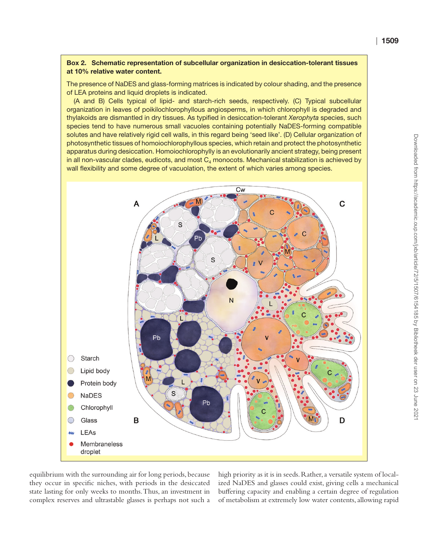#### <span id="page-2-0"></span>Box 2. Schematic representation of subcellular organization in desiccation-tolerant tissues at 10% relative water content.

The presence of NaDES and glass-forming matrices is indicated by colour shading, and the presence of LEA proteins and liquid droplets is indicated.

(A and B) Cells typical of lipid- and starch-rich seeds, respectively. (C) Typical subcellular organization in leaves of poikilochlorophyllous angiosperms, in which chlorophyll is degraded and thylakoids are dismantled in dry tissues. As typified in desiccation-tolerant *Xerophyta* species, such species tend to have numerous small vacuoles containing potentially NaDES-forming compatible solutes and have relatively rigid cell walls, in this regard being 'seed like'. (D) Cellular organization of photosynthetic tissues of homoiochlorophyllous species, which retain and protect the photosynthetic apparatus during desiccation. Homoiochlorophylly is an evolutionarily ancient strategy, being present in all non-vascular clades, eudicots, and most  $C_4$  monocots. Mechanical stabilization is achieved by wall flexibility and some degree of vacuolation, the extent of which varies among species.



equilibrium with the surrounding air for long periods, because they occur in specific niches, with periods in the desiccated state lasting for only weeks to months. Thus, an investment in complex reserves and ultrastable glasses is perhaps not such a high priority as it is in seeds. Rather, a versatile system of localized NaDES and glasses could exist, giving cells a mechanical buffering capacity and enabling a certain degree of regulation of metabolism at extremely low water contents, allowing rapid